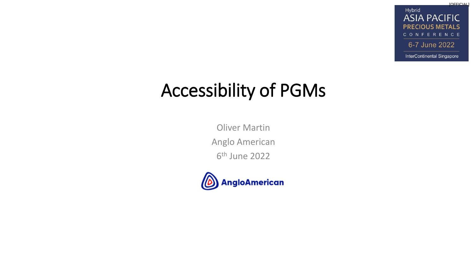**[OFFICIAL]** Hybrid **ASIA PACIFIC PRECIOUS METALS** CONFERENCE 6-7 June 2022 InterContinental Singapore

### Accessibility of PGMs

Oliver Martin Anglo American 6 th June 2022

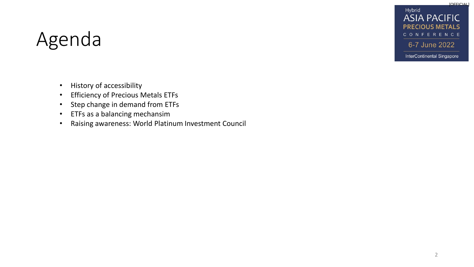Hybrid **ASIA PACIFIC PRECIOUS METALS** CONFERENCE 6-7 June 2022

**[OFFICIAL]** 

## Agenda

InterContinental Singapore

- History of accessibility
- Efficiency of Precious Metals ETFs
- Step change in demand from ETFs
- ETFs as a balancing mechansim
- Raising awareness: World Platinum Investment Council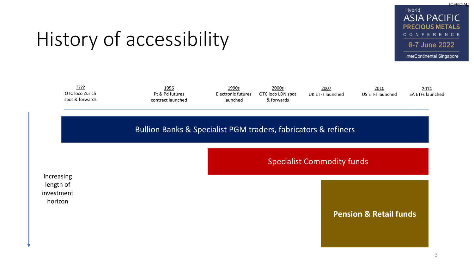Hybrid **ASIA PACIFIC PRECIOUS METALS** CONFERENCE 6-7 June 2022

**[OFFICIAL]** 

#### InterContinental Singapore

## History of accessibility

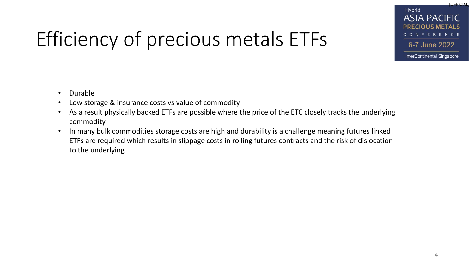# Efficiency of precious metals ETFs

[OFFICIAL] Hybrid **ASIA PACIFIC** CONFERENCE 6-7 June 2022 InterContinental Singapore

- Durable
- Low storage & insurance costs vs value of commodity
- As a result physically backed ETFs are possible where the price of the ETC closely tracks the underlying commodity
- In many bulk commodities storage costs are high and durability is a challenge meaning futures linked ETFs are required which results in slippage costs in rolling futures contracts and the risk of dislocation to the underlying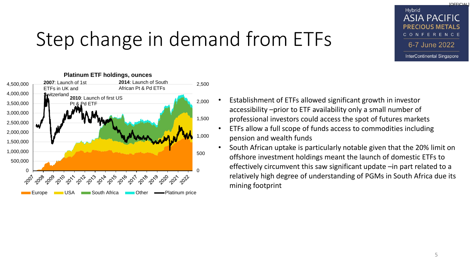## Step change in demand from ETFs



- Establishment of ETFs allowed significant growth in investor accessibility –prior to ETF availability only a small number of professional investors could access the spot of futures markets
	- ETFs allow a full scope of funds access to commodities including pension and wealth funds
- South African uptake is particularly notable given that the 20% limit on offshore investment holdings meant the launch of domestic ETFs to effectively circumvent this saw significant update –in part related to a relatively high degree of understanding of PGMs in South Africa due its mining footprint

[OFFICIAL]

Hybrid

**ASIA PACIFIC PRECIOUS METALS** CONFERENCE

6-7 June 2022

InterContinental Singapore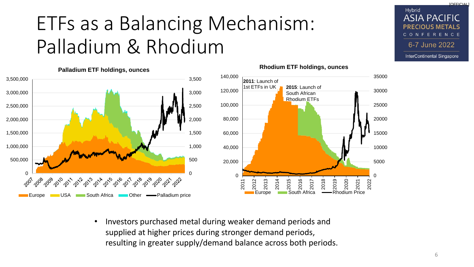## ETFs as a Balancing Mechanism: Palladium & Rhodium



#### $\Omega$ 5000 10000 15000 20000 25000 30000 35000 0 20,000 40,000 60,000 80,000 100,000 120,000 140,000 2011 2012 2013 2014 se<br>2015<br>South Africa 2016 2017 2018 2019 2020 2021 2022 **Europe Couth Africa — Rhodium Price 2011**: Launch of 1st ETFs in UK **2015**: Launch of South African Rhodium ETFs

• Investors purchased metal during weaker demand periods and supplied at higher prices during stronger demand periods, resulting in greater supply/demand balance across both periods.



[OFFICIAL]

Hybrid

**ASIA PACIFIC** 

CONFERENCE

6-7 June 2022

InterContinental Singapore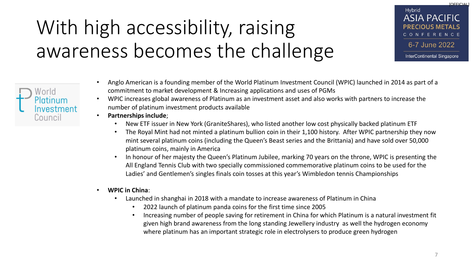# With high accessibility, raising awareness becomes the challenge

- [OFFICIAL] Hybrid **ASIA PACIFIC PRECIOUS METALS** CONFERENCE 6-7 June 2022 InterContinental Singapore
- Anglo American is a founding member of the World Platinum Investment Council (WPIC) launched in 2014 as part of a commitment to market development & Increasing applications and uses of PGMs
- WPIC increases global awareness of Platinum as an investment asset and also works with partners to increase the number of platinum investment products available
- **Partnerships include**;
	- New ETF issuer in New York (GraniteShares), who listed another low cost physically backed platinum ETF
	- The Royal Mint had not minted a platinum bullion coin in their 1,100 history. After WPIC partnership they now mint several platinum coins (including the Queen's Beast series and the Brittania) and have sold over 50,000 platinum coins, mainly in America
	- In honour of her majesty the Queen's Platinum Jubilee, marking 70 years on the throne, WPIC is presenting the All England Tennis Club with two specially commissioned commemorative platinum coins to be used for the Ladies' and Gentlemen's singles finals coin tosses at this year's Wimbledon tennis Championships
- **WPIC in China**:
	- Launched in shanghai in 2018 with a mandate to increase awareness of Platinum in China
		- 2022 launch of platinum panda coins for the first time since 2005
		- Increasing number of people saving for retirement in China for which Platinum is a natural investment fit given high brand awareness from the long standing Jewellery industry as well the hydrogen economy where platinum has an important strategic role in electrolysers to produce green hydrogen